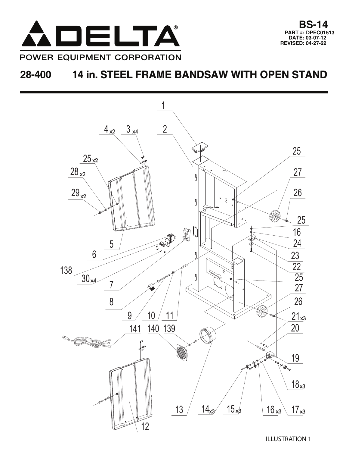



ILLUSTRATION 1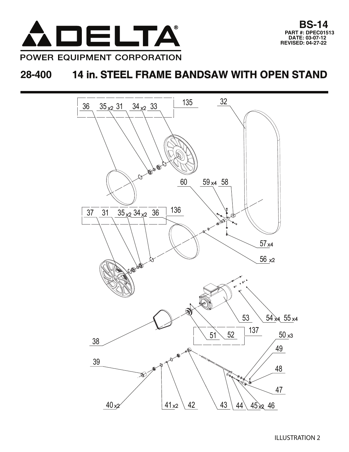

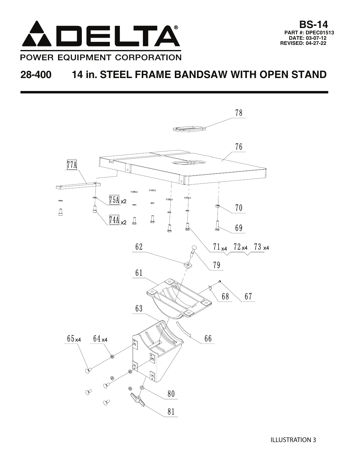

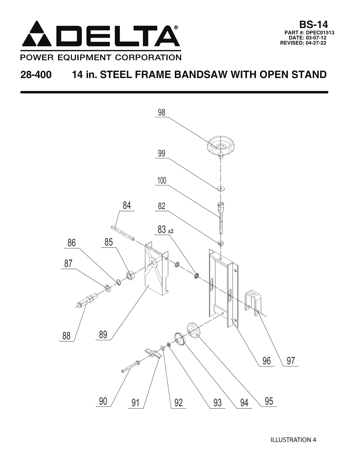



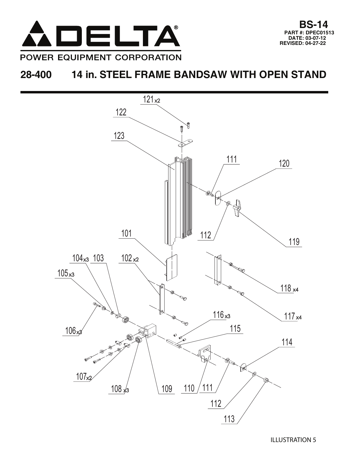

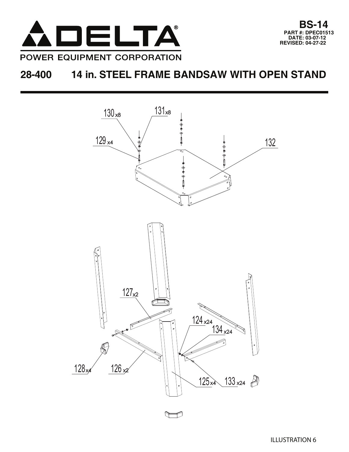





 $\Box$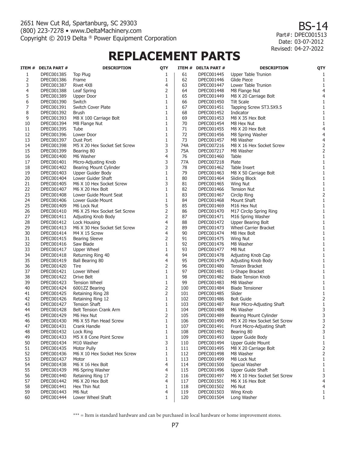BS-14 Part#: DPEC001513 Date: 03-07-2012 04-27-2022 Revised:

# **REPLACEMENT PARTS**

|    | ITEM # DELTA PART # | <b>DESCRIPTION</b>                  | QTY            |     | ITEM # DELTA PART # | <b>DESCRIPTION</b>           | QTY               |
|----|---------------------|-------------------------------------|----------------|-----|---------------------|------------------------------|-------------------|
| 1  | DPEC001385          | <b>Top Plug</b>                     | 1              | 61  | DPEC001445          | Upper Table Trunion          | 1                 |
| 2  | DPEC001386          | Frame                               | 1              | 62  | DPEC001446          | Glide Piece                  | 1                 |
| 3  | DPEC001387          | Rivet 4X8                           | 4              | 63  | DPEC001447          | Lower Table Trunion          | 1                 |
| 4  | DPEC001388          | Leaf Spring                         | 2              | 64  | DPEC001448          | M8 Flange Nut                | $\overline{4}$    |
| 5  | DPEC001389          | <b>Upper Door</b>                   | $\mathbf{1}$   | 65  | DPEC001449          | M8 X 20 Carriage Bolt        | $\overline{4}$    |
| 6  | DPEC001390          | Switch                              | $\mathbf{1}$   | 66  | DPEC001450          | <b>Tilt Scale</b>            | 1                 |
| 7  | DPEC001391          | Switch Cover Plate                  | $\mathbf{1}$   | 67  | DPEC001451          | Tapping Screw ST3.5X9.5      | 1                 |
| 8  | DPEC001392          | Brush                               | $\mathbf{1}$   | 68  | DPEC001452          | Indicator                    | 1                 |
| 9  | DPEC001393          | M8 X 100 Carriage Bolt              | $\mathbf{1}$   | 69  | DPEC001453          | M8 X 35 Hex Bolt             | 1                 |
| 10 | DPEC001394          | M8 Flange Nut                       | $\mathbf{1}$   | 70  | DPEC001454          | M8 Hex Nut                   | 1                 |
| 11 | DPEC001395          | Tube                                | $\mathbf{1}$   | 71  | DPEC001455          | M8 X 20 Hex Bolt             | $\overline{4}$    |
| 12 | DPEC001396          | Lower Door                          | $\mathbf{1}$   | 72  | DPEC001456          | M8 Spring Washer             | $\overline{4}$    |
| 13 | DPEC001397          | Dust Port                           | $\mathbf{1}$   | 73  | DPEC001457          | M8 Washer                    | $\overline{4}$    |
| 14 | DPEC001398          | M5 X 20 Hex Socket Set Screw        | 3              | 74A | DPEC007216          | M8 X 16 Hex Socket Screw     | $\mathbf 2$       |
| 15 | DPEC001399          | Bearing 80                          | 3              | 75A | DPEC007217          | M8 Washer                    | $\overline{2}$    |
| 16 | DPEC001400          | M6 Washer                           | $\overline{4}$ | 76  | DPEC001460          | Table                        | $\mathbf{1}$      |
| 17 | DPEC001401          | Micro-Adjusting Knob                | 3              | 77A | DPEC007218          | Plate                        | 1                 |
| 18 | DPEC001402          | Bearing Mount Cylinder              | 3              | 78  | DPEC001462          | Table Insert                 | 1                 |
| 19 | DPEC001403          | Upper Guider Body                   | $\mathbf{1}$   | 79  | DPEC001463          | M8 X 50 Carriage Bolt        | 1                 |
| 20 | DPEC001404          | Lower Guider Shaft                  | $\mathbf{1}$   | 80  | DPEC001464          | Sliding Block                | 1                 |
| 21 | DPEC001405          | M6 X 10 Hex Socket Screw            | 3              | 81  | DPEC001465          | <b>Wing Nut</b>              | 1                 |
| 22 | DPEC001407          | M6 X 20 Hex Bolt                    | $\mathbf{1}$   | 82  | DPEC001466          | <b>Tension Nut</b>           | 1                 |
| 23 | DPEC001408          | Lower Guide Mount Seat              | $\mathbf{1}$   | 83  | DPEC001467          | Circlip Ring                 | $\overline{2}$    |
| 24 | DPEC001406          | Lower Guide Mount                   | $\mathbf{1}$   | 84  | DPEC001468          | Mount Shaft                  | 1                 |
| 25 | DPEC001409          | M6 Lock Nut                         | 5              | 85  | DPEC001469          | M16 Hex Nut                  | 1                 |
| 26 | DPEC001410          | M6 X 25 Hex Socket Set Screw        | $\overline{2}$ | 86  | DPEC001470          | M17 Circlip Spring Ring      | 1                 |
| 27 | DPEC001411          |                                     | $\overline{2}$ | 87  | DPEC001471          | M16 Spring Washer            | 1                 |
| 28 | DPEC001412          | Adjusting Knob Body<br>Lock Housing | $\overline{4}$ | 88  | DPEC001472          | Upper Bearing Bolt           | 1                 |
| 29 | DPEC001413          | M6 X 30 Hex Socket Set Screw        | 2              | 89  | DPEC001473          | Wheel Carrier Bracket        | 1                 |
| 30 | DPEC001414          | M4 X 15 Screw                       | $\overline{4}$ | 90  | DPEC001474          | M8 Hex Bolt                  | 1                 |
| 31 | DPEC001415          | <b>Bearing Sleeve</b>               | 2              | 91  | DPEC001475          |                              | 1                 |
| 32 | DPEC001416          | Saw Blade                           | $\mathbf{1}$   | 92  | DPEC001476          | Wing Nut<br>M8 Washer        | 1                 |
| 33 | DPEC001417          | <b>Upper Wheel</b>                  | $\mathbf{1}$   | 93  | DPEC001477          | M8 Nut                       | 1                 |
| 34 | DPEC001418          | Returning Ring 40                   | $\overline{4}$ | 94  | DPEC001478          | Adjusting Knob Cap           | 1                 |
| 35 | DPEC001419          | Ball Bearing 80                     | $\overline{4}$ | 95  | DPEC001479          | Adjusting Knob Body          | 1                 |
| 36 | DPEC001420          | Tire                                | 2              | 96  | DPEC001480          | <b>Tension Bracket</b>       | 1                 |
| 37 | DPEC001421          | Lower Wheel                         | $\mathbf{1}$   | 97  | DPEC001481          | U-Shape Bracket              | 1                 |
| 38 | DPEC001422          | Drive Belt                          | $\mathbf{1}$   | 98  | DPEC001482          | <b>Blade Tension Knob</b>    | 1                 |
| 39 | DPEC001423          | <b>Tension Wheel</b>                | $\mathbf{1}$   | 99  | DPEC001483          | M8 Washer                    | 1                 |
| 40 | DPEC001424          | 6001ZZ Bearing                      | $\overline{2}$ | 100 | DPEC001484          | <b>Blade Tensioner</b>       | 1                 |
| 41 | DPEC001425          | Retaining Ring 28                   | $\overline{2}$ | 101 | DPEC001485          | Slider                       | 1                 |
| 42 | DPEC001426          | Retaining Ring 12                   | $\mathbf{1}$   | 102 | DPEC001486          | <b>Bolt Guide</b>            | 2                 |
| 43 | DPEC001427          | <b>Tension Shaft</b>                | $\mathbf{1}$   | 103 | DPEC001487          | Rear Micro-Adjusting Shaft   | 1                 |
| 44 | DPEC001428          | Belt Tension Crank Arm              | $\mathbf{1}$   | 104 | DPEC001488          | M6 Washer                    | 3                 |
| 45 | DPEC001429          | M6 Hex Nut                          | $\overline{2}$ | 105 | DPEC001489          | Bearing Mount Cylinder       | 3                 |
| 46 | DPEC001430          | M6 X 55 Pan Head Screw              | $1\,$          | 106 | DPEC001490          | M5 X 20 Hex Socket Set Screw | $\mathsf 3$       |
| 47 | DPEC001431          | Crank Handle                        | 1              | 107 | DPEC001491          | Front Micro-Adjusting Shaft  | 2                 |
| 48 | DPEC001432          | Lock Ring                           | $\mathbf{1}$   | 108 | DPEC001492          | Bearing 80                   | 3                 |
| 49 | DPEC001433          | M5 X 8 Cone Point Screw             | $\mathbf{1}$   | 109 | DPEC001493          | Upper Guide Body             | $\mathbf{1}$      |
| 50 | DPEC001434          | M10 Washer                          | 3              | 110 | DPEC001494          | Upper Guide Mount            | 1                 |
| 51 | DPEC001435          | Motor Pully                         | $\mathbf{1}$   | 111 | DPEC001495          | M8 X 20 Carriage Bolt        | $\mathsf 2$       |
| 52 | DPEC001436          | M6 X 10 Hex Socket Hex Screw        | $\mathbf{1}$   | 112 | DPEC001498          | M8 Washer                    |                   |
| 53 | DPEC001437          | Motor                               | $\mathbf{1}$   | 113 | DPEC001499          | M8 Lock Nut                  | 2<br>1            |
| 54 | DPEC001438          | M6 X 16 Hex Bolt                    | 4              | 114 | DPEC001500          | Special Washer               | $\mathbf{1}$      |
| 55 | DPEC001439          | M6 Spring Washer                    | 4              | 115 | DPEC001496          | Upper Guide Shaft            | 1                 |
| 56 | DPEC001440          | Retaining Ring 17                   | 2              | 116 | DPEC001497          | M6 X 10 Hex Socket Set Screw | 3                 |
| 57 | DPEC001442          | M6 X 20 Hex Bolt                    | 4              | 117 | DPEC001501          | M6 X 16 Hex Bolt             | 4                 |
| 58 | DPEC001441          | Hex Thin Nut                        | $\mathbf{1}$   | 118 | DPEC001502          | M6 Nut                       | $\overline{4}$    |
| 59 | DPEC001443          | M6 Nut                              | 4              | 119 | DPEC001503          | Wing Knob                    |                   |
| 60 | DPEC001444          | Lower Wheel Shaft                   | $\mathbf{1}$   | 120 | DPEC001504          |                              | 1<br>$\mathbf{1}$ |
|    |                     |                                     |                |     |                     | Long Washer                  |                   |

\*\*\* = Item is standard hardware and can be purchased in local hardware or home improvement stores.